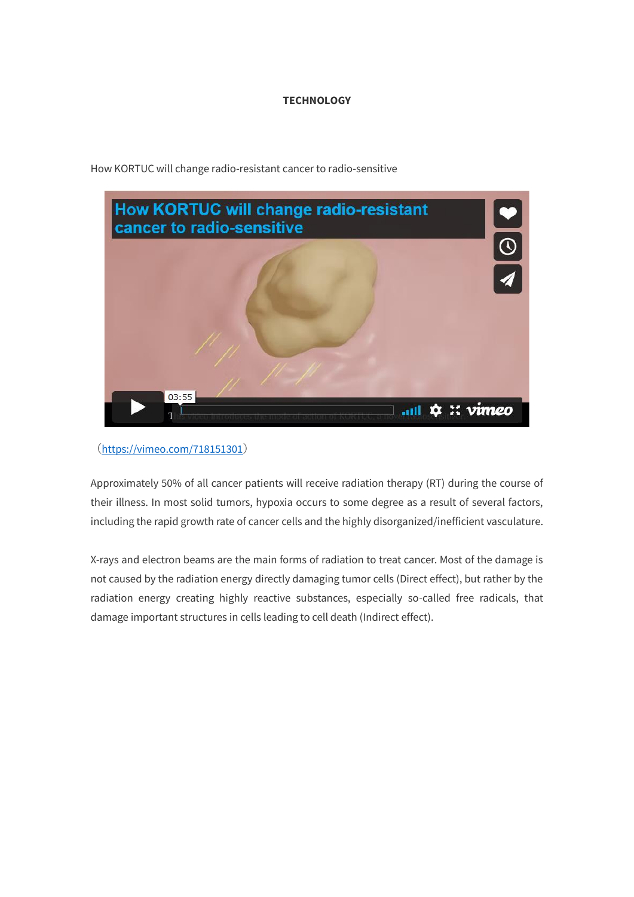## **TECHNOLOGY**



How KORTUC will change radio-resistant cancer to radio-sensitive

## (https://vimeo.com/718151301)

Approximately 50% of all cancer patients will receive radiation therapy (RT) during the course of their illness. In most solid tumors, hypoxia occurs to some degree as a result of several factors, including the rapid growth rate of cancer cells and the highly disorganized/inefficient vasculature.

X-rays and electron beams are the main forms of radiation to treat cancer. Most of the damage is not caused by the radiation energy directly damaging tumor cells (Direct effect), but rather by the radiation energy creating highly reactive substances, especially so-called free radicals, that damage important structures in cells leading to cell death (Indirect effect).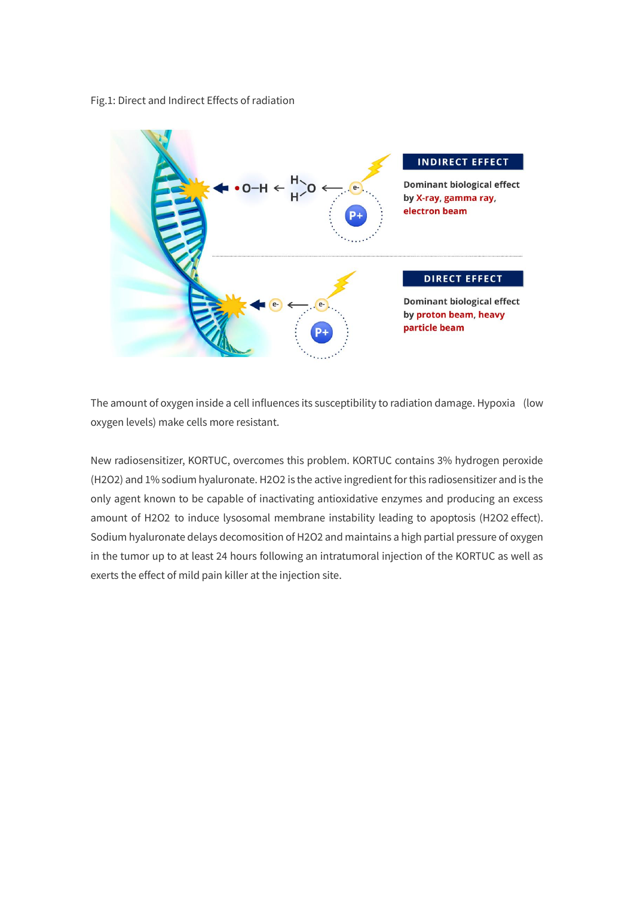Fig.1: Direct and Indirect Effects of radiation



The amount of oxygen inside a cell influences its susceptibility to radiation damage. Hypoxia (low oxygen levels) make cells more resistant.

New radiosensitizer, KORTUC, overcomes this problem. KORTUC contains 3% hydrogen peroxide (H2O2) and 1% sodium hyaluronate. H2O2 is the active ingredient for this radiosensitizer and is the only agent known to be capable of inactivating antioxidative enzymes and producing an excess amount of H2O2 to induce lysosomal membrane instability leading to apoptosis (H2O2 effect). Sodium hyaluronate delays decomosition of H2O2 and maintains a high partial pressure of oxygen in the tumor up to at least 24 hours following an intratumoral injection of the KORTUC as well as exerts the effect of mild pain killer at the injection site.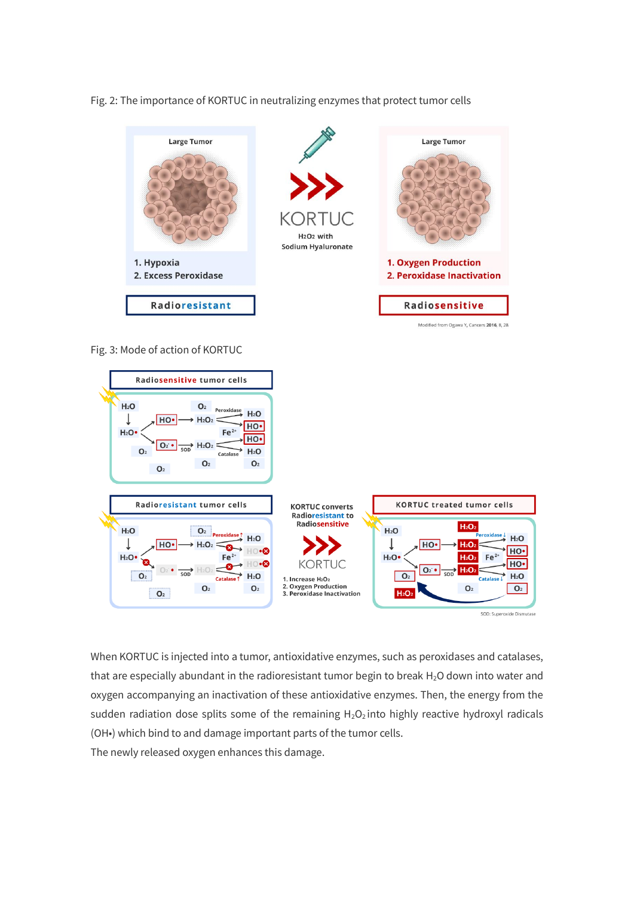Fig. 2: The importance of KORTUC in neutralizing enzymes that protect tumor cells



Fig. 3: Mode of action of KORTUC



SOD: Superoxide Dismutase

When KORTUC is injected into a tumor, antioxidative enzymes, such as peroxidases and catalases, that are especially abundant in the radioresistant tumor begin to break H<sub>2</sub>O down into water and oxygen accompanying an inactivation of these antioxidative enzymes. Then, the energy from the sudden radiation dose splits some of the remaining  $H_2O_2$  into highly reactive hydroxyl radicals (OH•) which bind to and damage important parts of the tumor cells.

The newly released oxygen enhances this damage.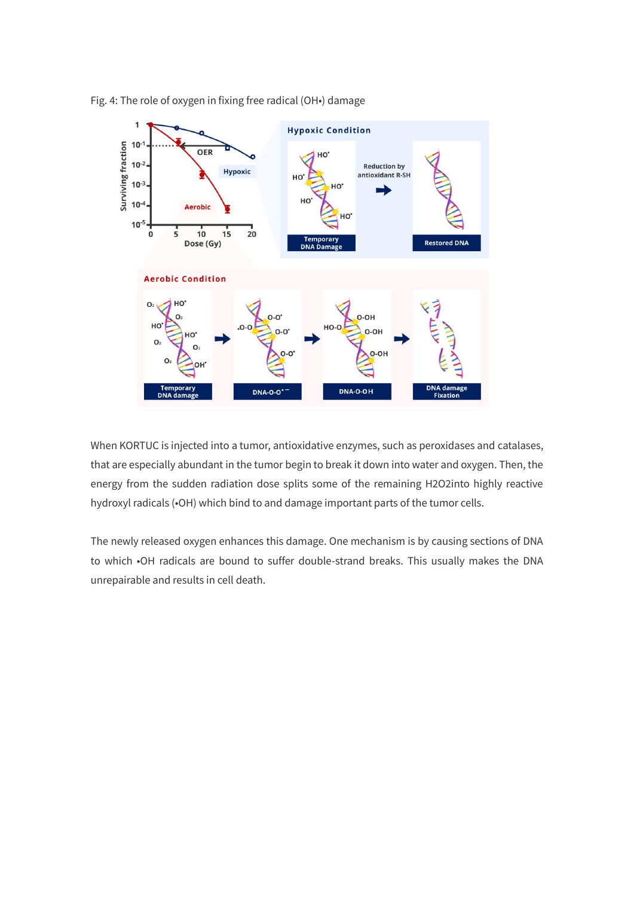

Fig. 4: The role of oxygen in fixing free radical (OH•) damage

When KORTUC is injected into a tumor, antioxidative enzymes, such as peroxidases and catalases, that are especially abundant in the tumor begin to break it down into water and oxygen. Then, the energy from the sudden radiation dose splits some of the remaining H2O2into highly reactive hydroxyl radicals (•OH) which bind to and damage important parts of the tumor cells.

The newly released oxygen enhances this damage. One mechanism is by causing sections of DNA to which •OH radicals are bound to suffer double-strand breaks. This usually makes the DNA unrepairable and results in cell death.